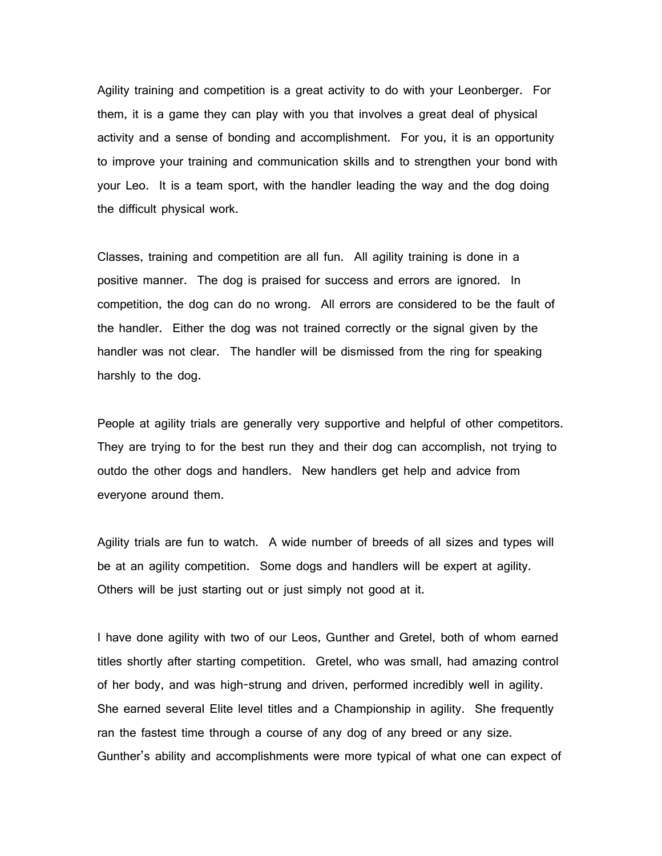Agility training and competition is a great activity to do with your Leonberger. For them, it is a game they can play with you that involves a great deal of physical activity and a sense of bonding and accomplishment. For you, it is an opportunity to improve your training and communication skills and to strengthen your bond with your Leo. It is a team sport, with the handler leading the way and the dog doing the difficult physical work.

Classes, training and competition are all fun. All agility training is done in a positive manner. The dog is praised for success and errors are ignored. In competition, the dog can do no wrong. All errors are considered to be the fault of the handler. Either the dog was not trained correctly or the signal given by the handler was not clear. The handler will be dismissed from the ring for speaking harshly to the dog.

People at agility trials are generally very supportive and helpful of other competitors. They are trying to for the best run they and their dog can accomplish, not trying to outdo the other dogs and handlers. New handlers get help and advice from everyone around them.

Agility trials are fun to watch. A wide number of breeds of all sizes and types will be at an agility competition. Some dogs and handlers will be expert at agility. Others will be just starting out or just simply not good at it.

I have done agility with two of our Leos, Gunther and Gretel, both of whom earned titles shortly after starting competition. Gretel, who was small, had amazing control of her body, and was high-strung and driven, performed incredibly well in agility. She earned several Elite level titles and a Championship in agility. She frequently ran the fastest time through a course of any dog of any breed or any size. Gunther's ability and accomplishments were more typical of what one can expect of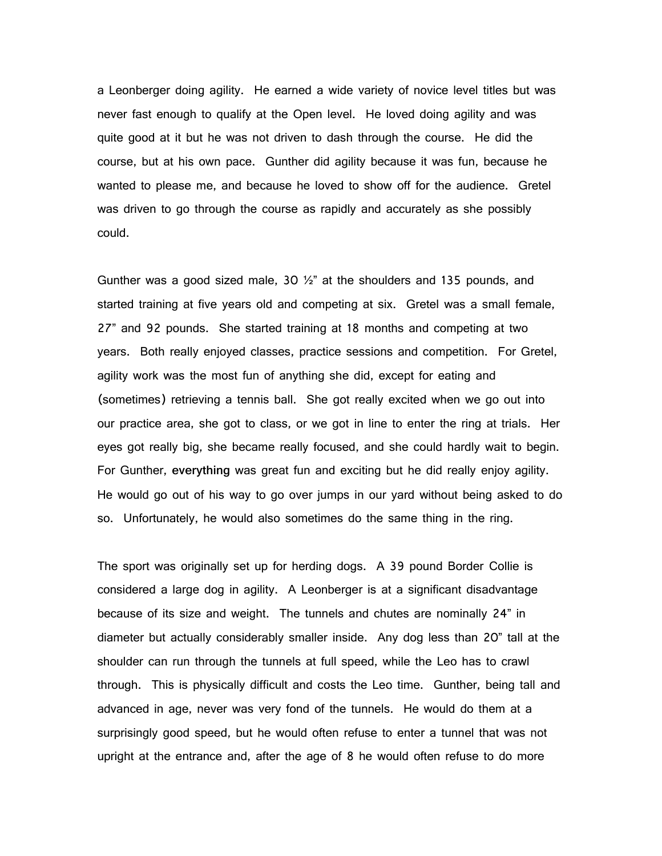a Leonberger doing agility. He earned a wide variety of novice level titles but was never fast enough to qualify at the Open level. He loved doing agility and was quite good at it but he was not driven to dash through the course. He did the course, but at his own pace. Gunther did agility because it was fun, because he wanted to please me, and because he loved to show off for the audience. Gretel was driven to go through the course as rapidly and accurately as she possibly could.

Gunther was a good sized male, 30  $\frac{1}{2}$ " at the shoulders and 135 pounds, and started training at five years old and competing at six. Gretel was a small female, 27" and 92 pounds. She started training at 18 months and competing at two years. Both really enjoyed classes, practice sessions and competition. For Gretel, agility work was the most fun of anything she did, except for eating and (sometimes) retrieving a tennis ball. She got really excited when we go out into our practice area, she got to class, or we got in line to enter the ring at trials. Her eyes got really big, she became really focused, and she could hardly wait to begin. For Gunther, **everything** was great fun and exciting but he did really enjoy agility. He would go out of his way to go over jumps in our yard without being asked to do so. Unfortunately, he would also sometimes do the same thing in the ring.

The sport was originally set up for herding dogs. A 39 pound Border Collie is considered a large dog in agility. A Leonberger is at a significant disadvantage because of its size and weight. The tunnels and chutes are nominally 24" in diameter but actually considerably smaller inside. Any dog less than 20" tall at the shoulder can run through the tunnels at full speed, while the Leo has to crawl through. This is physically difficult and costs the Leo time. Gunther, being tall and advanced in age, never was very fond of the tunnels. He would do them at a surprisingly good speed, but he would often refuse to enter a tunnel that was not upright at the entrance and, after the age of 8 he would often refuse to do more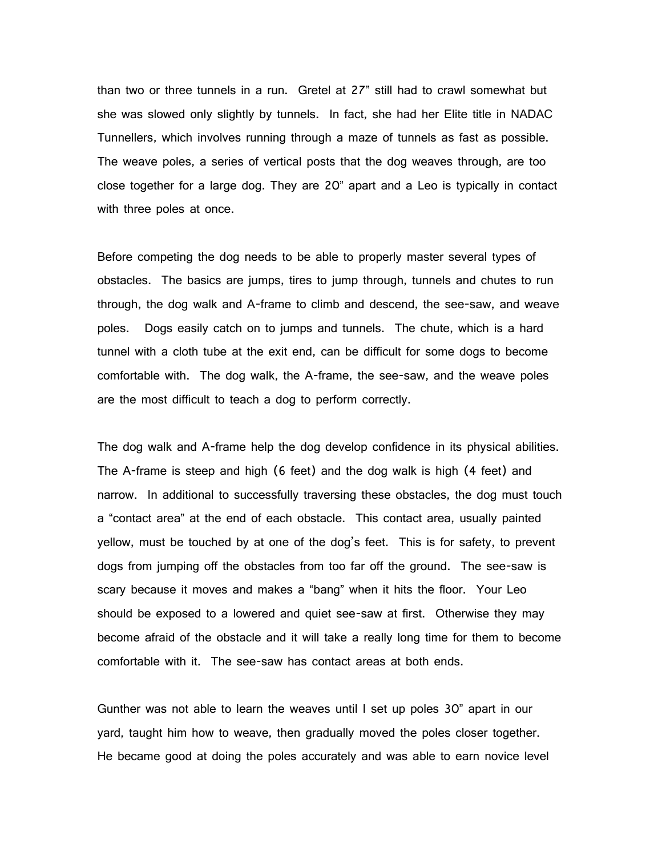than two or three tunnels in a run. Gretel at 27" still had to crawl somewhat but she was slowed only slightly by tunnels. In fact, she had her Elite title in NADAC Tunnellers, which involves running through a maze of tunnels as fast as possible. The weave poles, a series of vertical posts that the dog weaves through, are too close together for a large dog. They are 20" apart and a Leo is typically in contact with three poles at once.

Before competing the dog needs to be able to properly master several types of obstacles. The basics are jumps, tires to jump through, tunnels and chutes to run through, the dog walk and A-frame to climb and descend, the see-saw, and weave poles. Dogs easily catch on to jumps and tunnels. The chute, which is a hard tunnel with a cloth tube at the exit end, can be difficult for some dogs to become comfortable with. The dog walk, the A-frame, the see-saw, and the weave poles are the most difficult to teach a dog to perform correctly.

The dog walk and A-frame help the dog develop confidence in its physical abilities. The A-frame is steep and high (6 feet) and the dog walk is high (4 feet) and narrow. In additional to successfully traversing these obstacles, the dog must touch a "contact area" at the end of each obstacle. This contact area, usually painted yellow, must be touched by at one of the dog's feet. This is for safety, to prevent dogs from jumping off the obstacles from too far off the ground. The see-saw is scary because it moves and makes a "bang" when it hits the floor. Your Leo should be exposed to a lowered and quiet see-saw at first. Otherwise they may become afraid of the obstacle and it will take a really long time for them to become comfortable with it. The see-saw has contact areas at both ends.

Gunther was not able to learn the weaves until I set up poles 30" apart in our yard, taught him how to weave, then gradually moved the poles closer together. He became good at doing the poles accurately and was able to earn novice level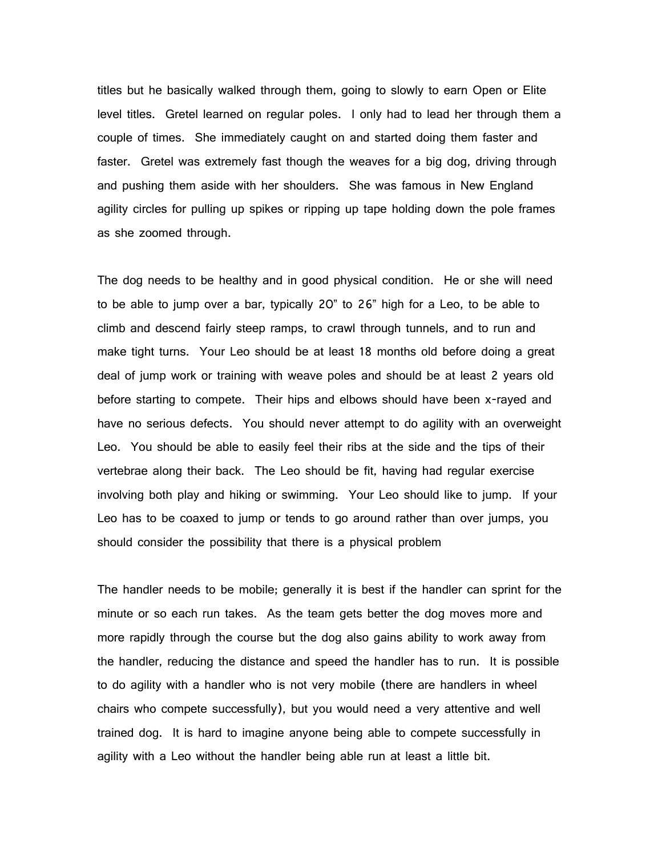titles but he basically walked through them, going to slowly to earn Open or Elite level titles. Gretel learned on regular poles. I only had to lead her through them a couple of times. She immediately caught on and started doing them faster and faster. Gretel was extremely fast though the weaves for a big dog, driving through and pushing them aside with her shoulders. She was famous in New England agility circles for pulling up spikes or ripping up tape holding down the pole frames as she zoomed through.

The dog needs to be healthy and in good physical condition. He or she will need to be able to jump over a bar, typically 20" to 26" high for a Leo, to be able to climb and descend fairly steep ramps, to crawl through tunnels, and to run and make tight turns. Your Leo should be at least 18 months old before doing a great deal of jump work or training with weave poles and should be at least 2 years old before starting to compete. Their hips and elbows should have been x-rayed and have no serious defects. You should never attempt to do agility with an overweight Leo. You should be able to easily feel their ribs at the side and the tips of their vertebrae along their back. The Leo should be fit, having had regular exercise involving both play and hiking or swimming. Your Leo should like to jump. If your Leo has to be coaxed to jump or tends to go around rather than over jumps, you should consider the possibility that there is a physical problem

The handler needs to be mobile; generally it is best if the handler can sprint for the minute or so each run takes. As the team gets better the dog moves more and more rapidly through the course but the dog also gains ability to work away from the handler, reducing the distance and speed the handler has to run. It is possible to do agility with a handler who is not very mobile (there are handlers in wheel chairs who compete successfully), but you would need a very attentive and well trained dog. It is hard to imagine anyone being able to compete successfully in agility with a Leo without the handler being able run at least a little bit.